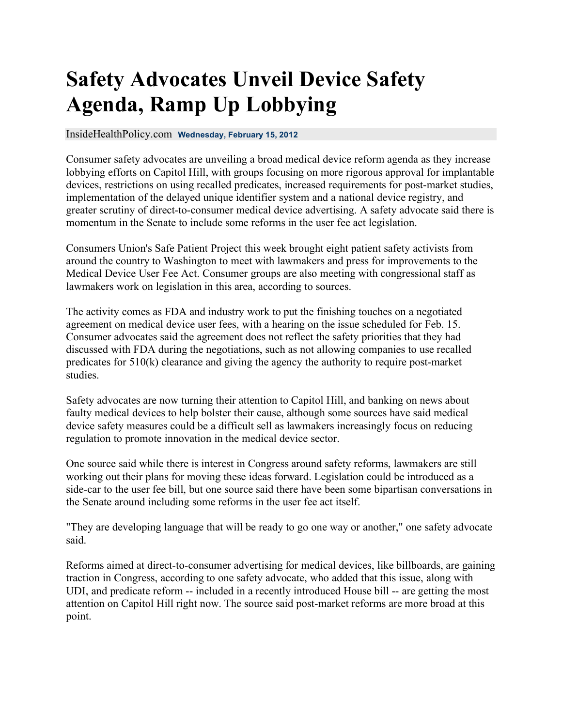## **Safety Advocates Unveil Device Safety Agenda, Ramp Up Lobbying**

## InsideHealthPolicy.com **Wednesday, February 15, 2012**

Consumer safety advocates are unveiling a broad medical device reform agenda as they increase lobbying efforts on Capitol Hill, with groups focusing on more rigorous approval for implantable devices, restrictions on using recalled predicates, increased requirements for post-market studies, implementation of the delayed unique identifier system and a national device registry, and greater scrutiny of direct-to-consumer medical device advertising. A safety advocate said there is momentum in the Senate to include some reforms in the user fee act legislation.

Consumers Union's Safe Patient Project this week brought eight patient safety activists from around the country to Washington to meet with lawmakers and press for improvements to the Medical Device User Fee Act. Consumer groups are also meeting with congressional staff as lawmakers work on legislation in this area, according to sources.

The activity comes as FDA and industry work to put the finishing touches on a negotiated agreement on medical device user fees, with a hearing on the issue scheduled for Feb. 15. Consumer advocates said the agreement does not reflect the safety priorities that they had discussed with FDA during the negotiations, such as not allowing companies to use recalled predicates for 510(k) clearance and giving the agency the authority to require post-market studies.

Safety advocates are now turning their attention to Capitol Hill, and banking on news about faulty medical devices to help bolster their cause, although some sources have said medical device safety measures could be a difficult sell as lawmakers increasingly focus on reducing regulation to promote innovation in the medical device sector.

One source said while there is interest in Congress around safety reforms, lawmakers are still working out their plans for moving these ideas forward. Legislation could be introduced as a side-car to the user fee bill, but one source said there have been some bipartisan conversations in the Senate around including some reforms in the user fee act itself.

"They are developing language that will be ready to go one way or another," one safety advocate said.

Reforms aimed at direct-to-consumer advertising for medical devices, like billboards, are gaining traction in Congress, according to one safety advocate, who added that this issue, along with UDI, and predicate reform -- included in a recently introduced House bill -- are getting the most attention on Capitol Hill right now. The source said post-market reforms are more broad at this point.